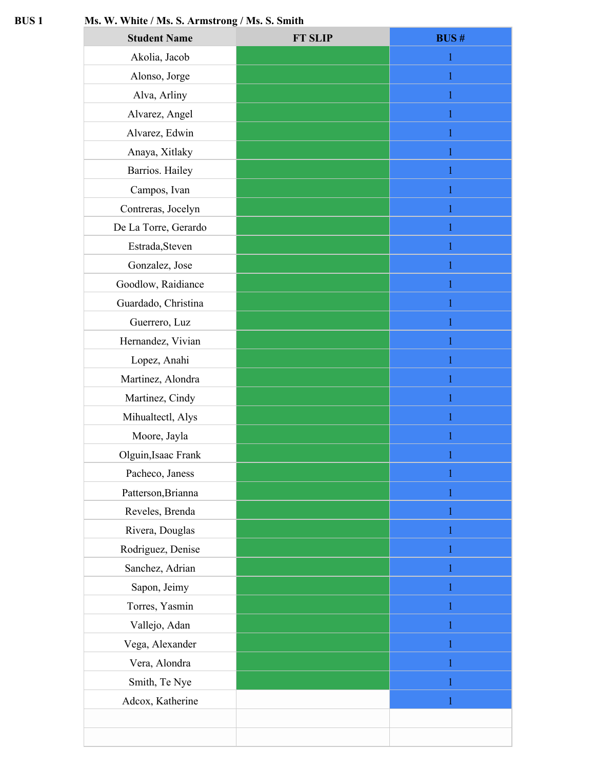## **BUS 1 Ms. W. White / Ms. S. Armstrong / Ms. S. Smith**

| <b>Student Name</b>  | <b>FT SLIP</b> | <b>BUS#</b> |
|----------------------|----------------|-------------|
| Akolia, Jacob        |                |             |
| Alonso, Jorge        |                |             |
| Alva, Arliny         |                |             |
| Alvarez, Angel       |                |             |
| Alvarez, Edwin       |                |             |
| Anaya, Xitlaky       |                |             |
| Barrios. Hailey      |                | 1           |
| Campos, Ivan         |                |             |
| Contreras, Jocelyn   |                |             |
| De La Torre, Gerardo |                |             |
| Estrada, Steven      |                |             |
| Gonzalez, Jose       |                |             |
| Goodlow, Raidiance   |                |             |
| Guardado, Christina  |                |             |
| Guerrero, Luz        |                | 1           |
| Hernandez, Vivian    |                |             |
| Lopez, Anahi         |                |             |
| Martinez, Alondra    |                |             |
| Martinez, Cindy      |                |             |
| Mihualtectl, Alys    |                |             |
| Moore, Jayla         |                |             |
| Olguin, Isaac Frank  |                |             |
| Pacheco, Janess      |                |             |
| Patterson, Brianna   |                | 1           |
| Reveles, Brenda      |                |             |
| Rivera, Douglas      |                |             |
| Rodriguez, Denise    |                | 1           |
| Sanchez, Adrian      |                |             |
| Sapon, Jeimy         |                |             |
| Torres, Yasmin       |                |             |
| Vallejo, Adan        |                |             |
| Vega, Alexander      |                |             |
| Vera, Alondra        |                |             |
| Smith, Te Nye        |                |             |
| Adcox, Katherine     |                |             |
|                      |                |             |
|                      |                |             |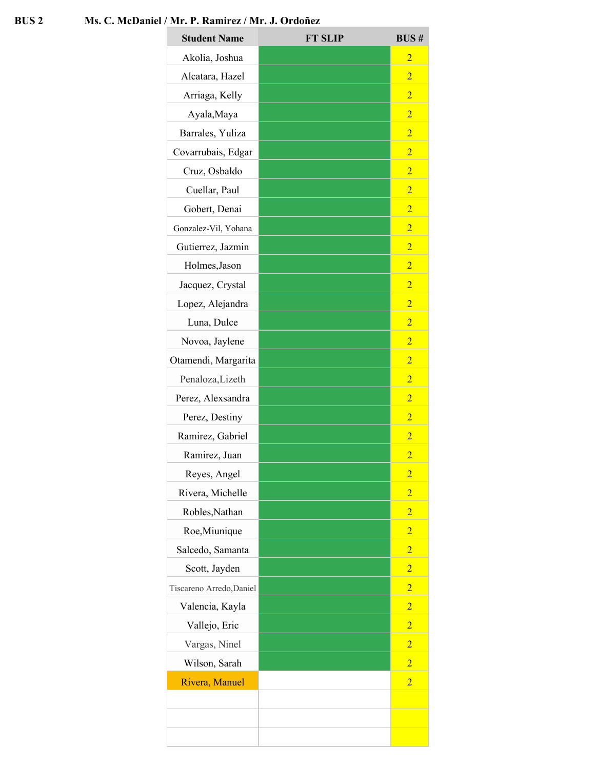## **BUS 2 Ms. C. McDaniel / Mr. P. Ramirez / Mr. J. Ordoñez**

| <b>Student Name</b>      | <b>FT SLIP</b> | <b>BUS#</b>    |
|--------------------------|----------------|----------------|
| Akolia, Joshua           |                | $\overline{2}$ |
| Alcatara, Hazel          |                | $\overline{2}$ |
| Arriaga, Kelly           |                | $\overline{2}$ |
| Ayala, Maya              |                | $\overline{2}$ |
| Barrales, Yuliza         |                | $\overline{2}$ |
| Covarrubais, Edgar       |                | $\overline{2}$ |
| Cruz, Osbaldo            |                | $\overline{2}$ |
| Cuellar, Paul            |                | $\overline{2}$ |
| Gobert, Denai            |                | $\overline{2}$ |
| Gonzalez-Vil, Yohana     |                | $\overline{2}$ |
| Gutierrez, Jazmin        |                | $\overline{2}$ |
| Holmes, Jason            |                | $\overline{2}$ |
| Jacquez, Crystal         |                | $\overline{2}$ |
| Lopez, Alejandra         |                | $\overline{2}$ |
| Luna, Dulce              |                | $\overline{2}$ |
| Novoa, Jaylene           |                | $\overline{2}$ |
| Otamendi, Margarita      |                | $\overline{2}$ |
| Penaloza, Lizeth         |                | $\overline{2}$ |
| Perez, Alexsandra        |                | $\overline{2}$ |
| Perez, Destiny           |                | $\overline{2}$ |
| Ramirez, Gabriel         |                | $\overline{2}$ |
| Ramirez, Juan            |                | $\overline{2}$ |
| Reyes, Angel             |                | $\overline{2}$ |
| Rivera, Michelle         |                | $\overline{2}$ |
| Robles, Nathan           |                | $\overline{2}$ |
| Roe, Miunique            |                | $\overline{2}$ |
| Salcedo, Samanta         |                | $\overline{2}$ |
| Scott, Jayden            |                | $\overline{2}$ |
| Tiscareno Arredo, Daniel |                | $\overline{2}$ |
| Valencia, Kayla          |                | $\overline{2}$ |
| Vallejo, Eric            |                | $\overline{2}$ |
| Vargas, Ninel            |                | $\overline{2}$ |
| Wilson, Sarah            |                | $\overline{2}$ |
| Rivera, Manuel           |                | $\overline{2}$ |
|                          |                |                |
|                          |                |                |
|                          |                |                |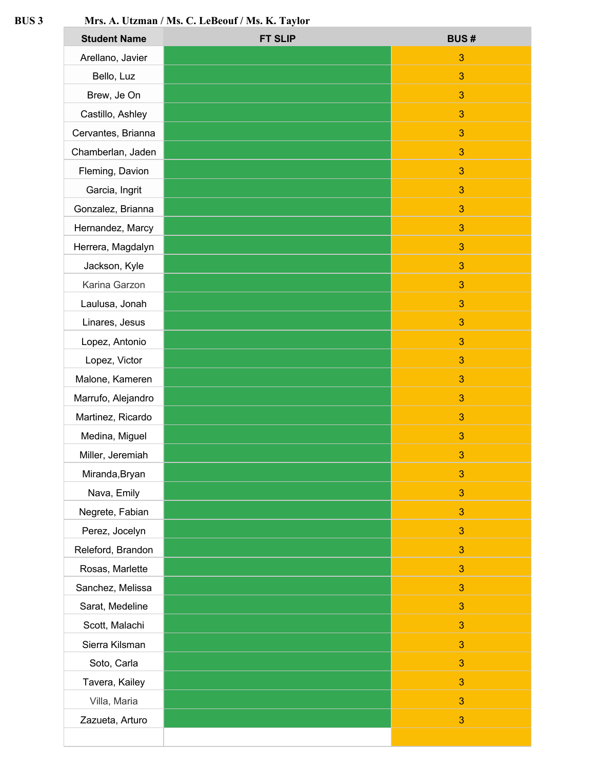## **BUS 3 Mrs. A. Utzman / Ms. C. LeBeouf / Ms. K. Taylor**

| <b>Student Name</b> | <b>FT SLIP</b> | <b>BUS#</b>  |
|---------------------|----------------|--------------|
| Arellano, Javier    |                | 3            |
| Bello, Luz          |                | 3            |
| Brew, Je On         |                | 3            |
| Castillo, Ashley    |                | 3            |
| Cervantes, Brianna  |                | 3            |
| Chamberlan, Jaden   |                | 3            |
| Fleming, Davion     |                | 3            |
| Garcia, Ingrit      |                | 3            |
| Gonzalez, Brianna   |                | 3            |
| Hernandez, Marcy    |                | $\mathbf{3}$ |
| Herrera, Magdalyn   |                | 3            |
| Jackson, Kyle       |                | 3            |
| Karina Garzon       |                | 3            |
| Laulusa, Jonah      |                | 3            |
| Linares, Jesus      |                | 3            |
| Lopez, Antonio      |                | 3            |
| Lopez, Victor       |                | 3            |
| Malone, Kameren     |                | $\mathbf{3}$ |
| Marrufo, Alejandro  |                | 3            |
| Martinez, Ricardo   |                | 3            |
| Medina, Miguel      |                | 3            |
| Miller, Jeremiah    |                | $\mathbf{3}$ |
| Miranda, Bryan      |                | 3            |
| Nava, Emily         |                | 3            |
| Negrete, Fabian     |                | 3            |
| Perez, Jocelyn      |                | $\mathbf{3}$ |
| Releford, Brandon   |                | 3            |
| Rosas, Marlette     |                | 3            |
| Sanchez, Melissa    |                | 3            |
| Sarat, Medeline     |                | $\mathbf{3}$ |
| Scott, Malachi      |                | 3            |
| Sierra Kilsman      |                | 3            |
| Soto, Carla         |                | 3            |
| Tavera, Kailey      |                | $\mathbf{3}$ |
| Villa, Maria        |                | 3            |
| Zazueta, Arturo     |                | 3            |
|                     |                |              |